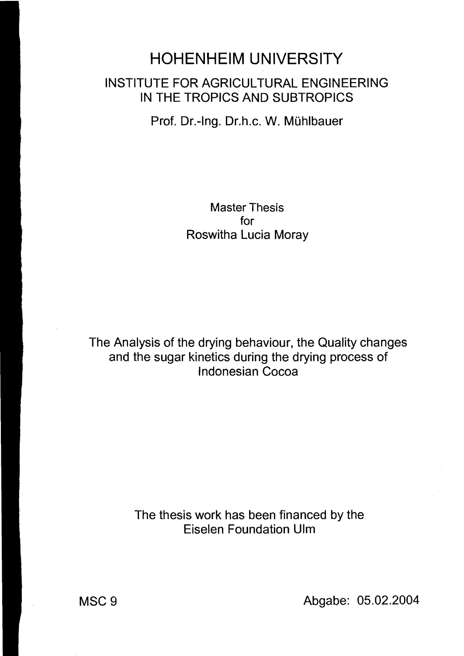## **HOHENHEIM** UNIVERSITY INSTITUTE FOR AGRICUL TURAL ENGINEERING IN THE TROPICS AND SUBTROPICS

Prof. Dr.-Ing. Dr.h.c. W. Mühlbauer

Master Thesis for Roswitha Lucia Moray

The Analysis of the drying behaviour, the Quality changes and the sugar kinetics during the drying process of I ndonesian Cocoa

> The thesis work has been financed by the Eiselen Foundation Ulm

MSC 9 Abgabe: 05.02.2004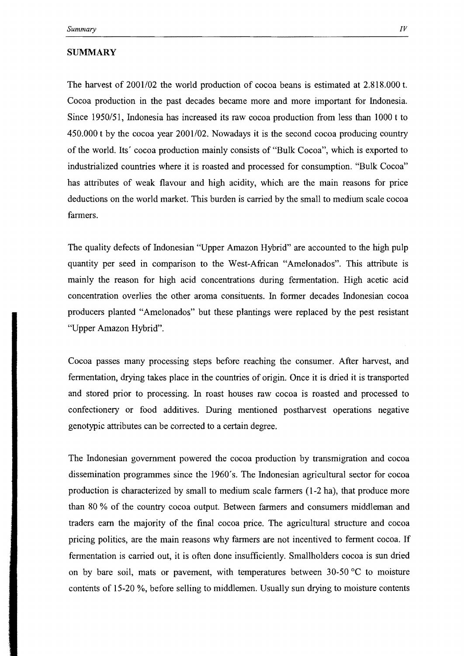## SUMMARY

The harvest of 2001/02 the world production of cocoa beans is estimated at 2.818.000 t. Cocoa production in the past decades became more and more important for Indonesia. Since 1950/51, Indonesia has increased its raw cocoa production from less than 1000 t to 450.000 t by the cocoa year 2001/02. Nowadays it is the second cocoa producing country of the world. Its' cocoa production mainly consists of "Bulk Cocoa", which is exported to industrialized countries where it is roasted and processed for consumption. "Bulk Cocoa" has attributes of weak flavour and high acidity, which are the main reasons for price deductions on the world market. This burden is carried by the small to medium scale cocoa farmers.

The quality defects of Indonesian "Upper Amazon Hybrid" are accounted to the high pulp quantity per seed in comparison to the West-African "Amelonados". This attribute is mainly the reason for high acid concentrations during fermentation. High acetic acid concentration overlies the other aroma consituents. In former decades Indonesian cocoa producers planted "Amelonados" but these plantings were replaced by the pest resistant "Upper Amazon Hybrid".

Cocoa passes many processing steps before reaching the consumer. After harvest, and fermentation, drying takes place in the countries of origin. Once it is dried it is transported and stored prior to processing. In roast houses raw cocoa is roasted and processed to confectionery or food additives. During mentioned postharvest operations negative genotypie attributes can be corrected to a certain degree.

The Indonesian government powered the cocoa production by transmigration and cocoa dissemination programmes since the 1960's. The Indonesian agricultural sector for cocoa production is characterized by small to medium scale farmers (1-2 ha), that produce more than 80 % of the country cocoa output. Between farmers and consumers middleman and traders earn the majority of the final cocoa price. The agricultural structure and cocoa pricing politics, are the main reasons why farmers are not incentived to ferment cocoa. If fermentation is carried out, it is often done insufficiently. Smallholders cocoa is sun dried on by bare soil, mats or pavement, with temperatures between  $30-50$  °C to moisture contents of 15-20 %, before selling to middlemen. Usually sun drying to moisture contents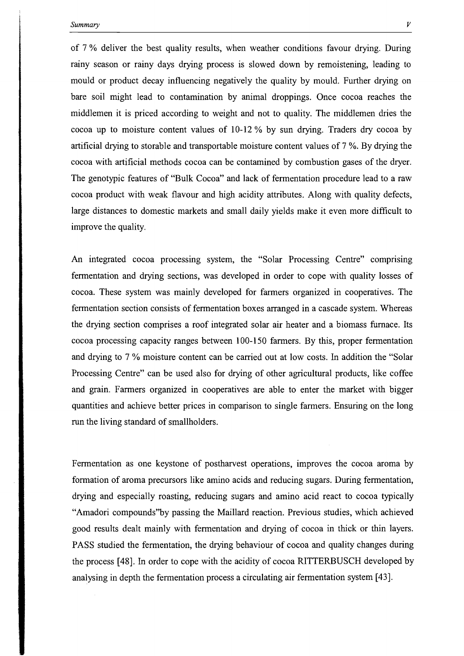of 7 % deliver the best quality results, when weather conditions favour drying. During rainy season or rainy days drying process is slowed down by remoistening, leading to mould or product decay influencing negatively the quality by mould. Further drying on bare soil might lead to contamination by animal droppings. Once cocoa reaches the middlemen it is priced according to weight and not to quality. The middlemen dries the cocoa up to moisture content values of 10-12 % by sun drying. Traders dry cocoa by artificial drying to storable and transportable moisture content values of 7 %. By drying the cocoa with artificial methods cocoa can be contamined by combustion gases of the dryer. The genotypie features of "Bulk Cocoa" and lack of fermentation procedure lead to a raw cocoa product with weak flavour and high acidity attributes. Along with quality defects, large distances to domestic markets and small daily yields make it even more difficult to improve the quality.

An integrated cocoa processing system, the "Solar Processing Centre" comprising fermentation and drying sections, was developed in order to cope with quality losses of cocoa. These system was mainly developed for farmers organized in cooperatives. The fermentation section consists of fermentation boxes arranged in a cascade system. Whereas the drying section comprises a roof integrated solar air heater and a biomass fumace. Its cocoa processing capacity ranges between 100-150 farmers. By this, proper fermentation and drying to 7 % moisture content can be carried out at low costs. In addition the "Solar Processing Centre" can be used also for drying of other agricultural products, like coffee and grain. Farmers organized in cooperatives are able to enter the market with bigger quantities and achieve better prices in comparison to single farmers. Ensuring on the long run the living standard of smallholders.

Fermentation as one keystone of postharvest operations, improves the cocoa aroma by formation of aroma precursors like amino acids and reducing sugars. During fermentation, drying and especially roasting, reducing sugars and amino acid react to cocoa typically "Amadori compounds"by passing the Maillard reaction. Previous studies, which achieved good results dealt mainly with fermentation and drying of cocoa in thick or thin layers. PASS studied the fermentation, the drying behaviour of cocoa and quality changes during the process [48]. In order to cope with the acidity of cocoa RITTERBUSCH developed by analysing in depth the fermentation process a circulating air fermentation system [43].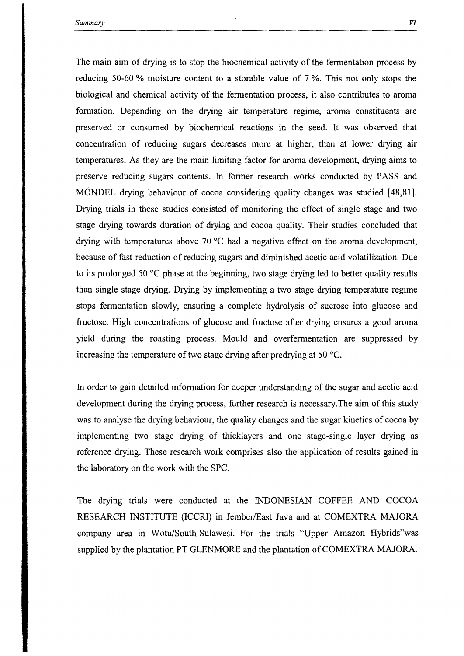The main aim of drying is to stop the biochemical activity of the fermentation process by reducing 50-60 % moisture content to a storable value of 7 %. This not only stops the biological and chemical activity of the fermentation process, it also contributes to aroma formation. Depending on the drying air temperature regime, aroma constituents are preserved or consumed by biochemical reactions in the seed. It was observed that concentration of reducing sugars decreases more at higher, than at lower drying air temperatures. As they are the main limiting factor for aroma development, drying aims to preserve reducing sugars contents. In former research works conducted by PASS and MÖNDEL drying behaviour of cocoa considering quality changes was studied [48,81]. Drying trials in these studies consisted of monitoring the effect of single stage and two stage drying towards duration of drying and cocoa quality. Their studies concluded that drying with temperatures above 70°C had a negative effect on the aroma development, because of fast reduction of reducing sugars and diminished acetic acid volatilization. Due to its prolonged 50°C phase at the beginning, two stage drying led to better quality results than single stage drying. Drying by implementing a two stage drying temperature regime stops fermentation slowly, ensuring a complete hydrolysis of sucrose into glucose and fructose. High concentrations of glucose and fructose after drying ensures a good aroma yield during the roasting process. Mould and overfermentation are suppressed by increasing the temperature of two stage drying after predrying at 50°C.

In order to gain detailed information for deeper understanding of the sugar and acetic acid development during the drying process, further research is necessary.The aim of this study was to analyse the drying behaviour, the quality changes and the sugar kinetics of cocoa by implementing two stage drying of thicklayers and one stage-single layer drying as reference drying. These research work comprises also the application of results gained in the laboratory on the work with the SPC.

The drying trials were conducted at the INDONESIAN COFFEE AND COCOA RESEARCH INSTITUTE (ICCRl) in Jember/East Java and at COMEXTRA MAJORA company area in Wotu/South-Sulawesi. For the trials "Upper Amazon Hybrids"was supplied by the plantation PT GLENMORE and the plantation of COMEXTRA MAJORA.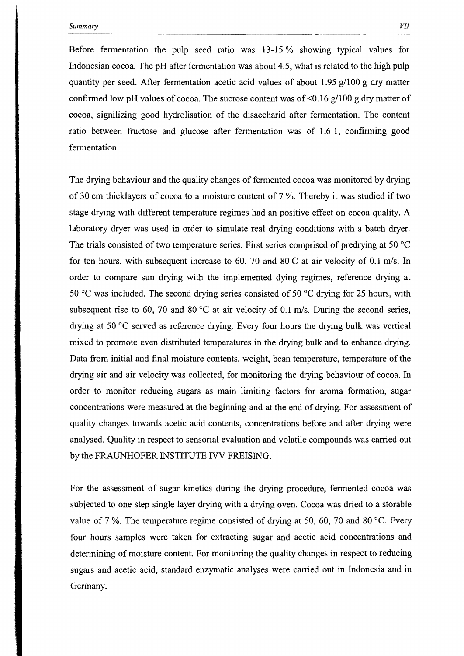Before fermentation the pulp seed ratio was 13-15 % showing typical values for Indonesian cocoa. The pH after fermentation was about 4.5, what is related to the high pulp quantity per seed. After fermentation acetic acid values of about 1.95  $g/100$  g dry matter confirmed low pH values of cocoa. The sucrose content was of  $\leq 0.16$  g/100 g dry matter of cocoa, signilizing good hydrolisation of the disaccharid after fermentation. The content ratio between fructose and glucose after fermentation was of 1.6:1, confirming good fermentation.

The drying behaviour and the quality changes of fermented cocoa was monitored by drying of 30 cm thicklayers of cocoa to a moisture content of 7 %. Thereby it was studied if two stage drying with different temperature regimes had an positive effect on cocoa quality. A laboratory dryer was used in order to simulate real drying conditions with a batch dryer. The trials consisted of two temperature series. First series comprised of predrying at 50  $^{\circ}$ C for ten hours, with subsequent increase to 60, 70 and 80 C at air ve10city of 0.1 *mJs.* In order to compare sun drying with the implemented dying regimes, reference drying at 50 °C was included. The second drying series consisted of 50 °C drying for 25 hours, with subsequent rise to 60, 70 and 80°C at air velocity of 0.1 *mJs.* During the second series, drying at 50°C served as reference drying. Every four hours the drying bulk was vertical mixed to promote even distributed temperatures in the drying bulk and to enhance drying. Data from initial and final moisture contents, weight, bean temperature, temperature of the drying air and air velocity was collected, for monitoring the drying behaviour of cocoa. In order to monitor reducing sugars as main limiting factors for aroma formation, sugar concentrations were measured at the beginning and at the end of drying. For assessment of quality changes towards acetic acid contents, concentrations before and after drying were analysed. Quality in respect to sensorial evaluation and volatile compounds was carried out by the FRAUNHOFER INSTITUTE IVV FREISING.

For the assessment of sugar kinetics during the drying procedure, fermented cocoa was subjected to one step single layer drying with a drying oven. Cocoa was dried to a storable value of 7 %. The temperature regime consisted of drying at 50, 60, 70 and 80°C. Every four hours sampies were taken for extracting sugar and acetic acid concentrations and determining of moisture content. For monitoring the quality changes in respect to reducing sugars and acetic acid, standard enzymatic analyses were carried out in Indonesia and in Germany.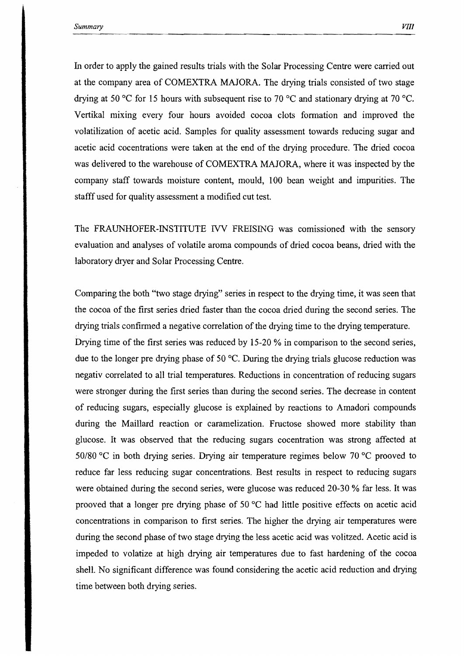In order to apply the gained results trials with the Solar Processing Centre were carried out at the company area of COMEXTRA MAJORA. The drying trials consisted of two stage drying at 50°C for 15 hours with subsequent rise to 70°C and stationary drying at 70°C. Vertikal mixing every four hours avoided cocoa clots formation and improved the volatilization of acetic acid. Sampies for quality assessment towards reducing sugar and acetic acid cocentrations were taken at the end of the drying procedure. The dried cocoa was delivered to the warehouse of COMEXTRA MAJORA, where it was inspected by the company staff towards moisture content, mould, 100 bean weight and impurities. The stafff used for quality assessment a modified cut test.

The FRAUNHOFER-INSTITUTE IVV FREISING was comissioned with the sensory evaluation and analyses of volatile aroma compounds of dried cocoa beans, dried with the laboratory dryer and Solar Processing Centre.

Comparing the both "two stage drying" series in respect to the drying time, it was seen that the cocoa of the first series dried faster than the cocoa dried during the second series. The drying trials confirmed a negative correlation of the drying time to the drying temperature. Drying time of the first series was reduced by 15-20 % in comparison to the second series, due to the longer pre drying phase of 50°C. During the drying trials glucose reduction was negativ correlated to all trial temperatures. Reductions in concentration of reducing sugars were stronger during the first series than during the second series. The decrease in content of reducing sugars, especially glucose is explained by reactions to Amadori compounds during the Maillard reaction or caramelization. Fructose showed more stability than glucose. 1t was observed that the reducing sugars cocentration was strong affected at 50/80 °C in both drying series. Drying air temperature regimes below 70°C prooved to reduce far less reducing sugar concentrations. Best results in respect to reducing sugars were obtained during the second series, were glucose was reduced 20-30 % far less. It was prooved that a longer pre drying phase of 50°C had little positive effects on acetic acid concentrations in comparison to first series. The higher the drying air temperatures were during the second phase of two stage drying the less acetic acid was volitzed. Acetic acid is impeded to volatize at high drying air temperatures due to fast hardening of the cocoa shell. No significant difference was found considering the acetic acid reduction and drying time between both drying series.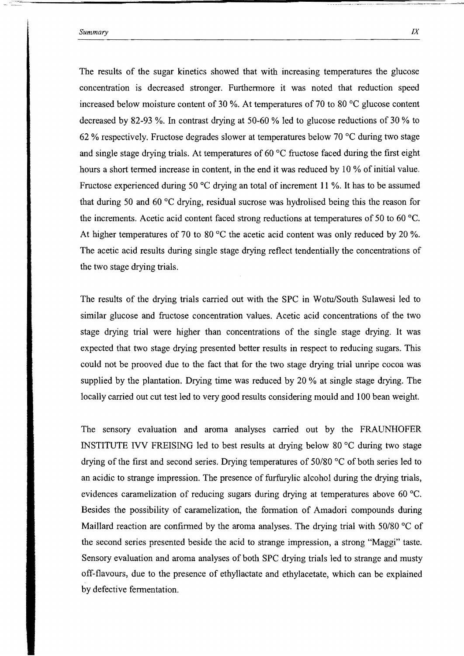The results of the sugar kinetics showed that with increasing temperatures the glucose concentration is decreased stronger. Furthermore it was noted that reduction speed increased below moisture content of 30 %. At temperatures of 70 to 80  $^{\circ}$ C glucose content decreased by S2-93 %. In contrast drying at 50-60 % led to glucose reductions of 30 % to 62 % respectively. Fructose degrades slower at temperatures below 70  $\degree$ C during two stage and single stage drying trials. At temperatures of 60  $\degree$ C fructose faced during the first eight hours a short termed increase in content, in the end it was reduced by 10 % of initial value. Fructose experienced during 50 °C drying an total of increment 11 %. It has to be assumed that during 50 and 60  $\degree$ C drying, residual sucrose was hydrolised being this the reason for the increments. Acetic acid content faced strong reductions at temperatures of 50 to 60 °C. At higher temperatures of 70 to 80  $^{\circ}$ C the acetic acid content was only reduced by 20 %. The acetic acid results during single stage drying reflect tendentially the concentrations of the two stage drying trials.

The results of the drying trials carried out with the SPC in Wotu/South Sulawesi led to similar glucose and fructose concentration values. Acetic acid concentrations of the two stage drying trial were higher than concentrations of the single stage drying. It was expected that two stage drying presented better results in respect to reducing sugars. This could not be prooved due to the fact that for the two stage drying trial unripe cocoa was supplied by the plantation. Drying time was reduced by 20 % at single stage drying. The locally carried out cut test led to very good results considering mould and 100 bean weight.

The sensory evaluation and aroma analyses carried out by the FRAUNHOFER INSTITUTE IVV FREISING led to best results at drying below 80  $\degree$ C during two stage drying of the first and second series. Drying temperatures of 50/80 °C of both series led to an acidic to strange impression. The presence of furfurylic alcohol during the drying trials, evidences caramelization of reducing sugars during drying at temperatures above 60  $\degree$ C. Besides the possibility of caramelization, the formation of Amadori compounds during Maillard reaction are confirmed by the aroma analyses. The drying trial with 50/80 °C of the second series presented beside the acid to strange impression, a strong "Maggi" taste. Sensory evaluation and aroma analyses of both SPC drying trials led to strange and musty off-flavours, due to the presence of ethyllactate and ethylacetate, which can be explained by defective fermentation.